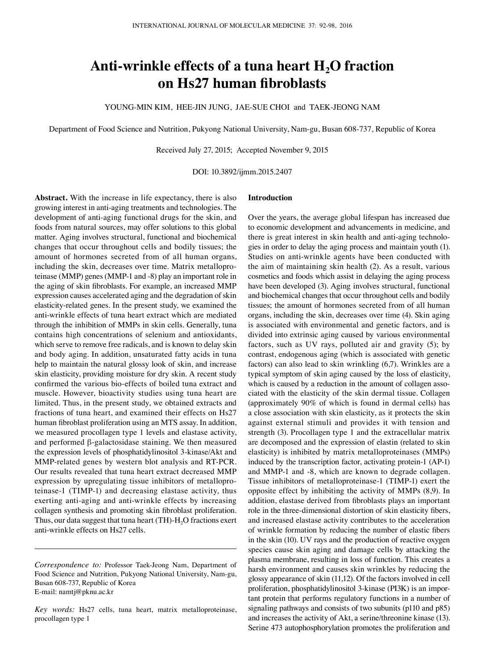# Anti-wrinkle effects of a tuna heart H<sub>2</sub>O fraction **on Hs27 human fibroblasts**

YOUNG-MIN KIM, HEE-JIN JUNG, JAE-SUE CHOI and TAEK-JEONG NAM

Department of Food Science and Nutrition, Pukyong National University, Nam-gu, Busan 608-737, Republic of Korea

Received July 27, 2015; Accepted November 9, 2015

DOI: 10.3892/ijmm.2015.2407

**Abstract.** With the increase in life expectancy, there is also growing interest in anti-aging treatments and technologies. The development of anti-aging functional drugs for the skin, and foods from natural sources, may offer solutions to this global matter. Aging involves structural, functional and biochemical changes that occur throughout cells and bodily tissues; the amount of hormones secreted from of all human organs, including the skin, decreases over time. Matrix metalloproteinase (MMP) genes (MMP-1 and -8) play an important role in the aging of skin fibroblasts. For example, an increased MMP expression causes accelerated aging and the degradation of skin elasticity-related genes. In the present study, we examined the anti-wrinkle effects of tuna heart extract which are mediated through the inhibition of MMPs in skin cells. Generally, tuna contains high concentrations of selenium and antioxidants, which serve to remove free radicals, and is known to delay skin and body aging. In addition, unsaturated fatty acids in tuna help to maintain the natural glossy look of skin, and increase skin elasticity, providing moisture for dry skin. A recent study confirmed the various bio-effects of boiled tuna extract and muscle. However, bioactivity studies using tuna heart are limited. Thus, in the present study, we obtained extracts and fractions of tuna heart, and examined their effects on Hs27 human fibroblast proliferation using an MTS assay. In addition, we measured procollagen type 1 levels and elastase activity, and performed β-galactosidase staining. We then measured the expression levels of phosphatidylinositol 3-kinase/Akt and MMP-related genes by western blot analysis and RT-PCR. Our results revealed that tuna heart extract decreased MMP expression by upregulating tissue inhibitors of metalloproteinase-1 (TIMP-1) and decreasing elastase activity, thus exerting anti-aging and anti-wrinkle effects by increasing collagen synthesis and promoting skin fibroblast proliferation. Thus, our data suggest that tuna heart (TH)- $H_2O$  fractions exert anti-wrinkle effects on Hs27 cells.

## **Introduction**

Over the years, the average global lifespan has increased due to economic development and advancements in medicine, and there is great interest in skin health and anti-aging technologies in order to delay the aging process and maintain youth (1). Studies on anti-wrinkle agents have been conducted with the aim of maintaining skin health (2). As a result, various cosmetics and foods which assist in delaying the aging process have been developed (3). Aging involves structural, functional and biochemical changes that occur throughout cells and bodily tissues; the amount of hormones secreted from of all human organs, including the skin, decreases over time (4). Skin aging is associated with environmental and genetic factors, and is divided into extrinsic aging caused by various environmental factors, such as UV rays, polluted air and gravity (5); by contrast, endogenous aging (which is associated with genetic factors) can also lead to skin wrinkling (6,7). Wrinkles are a typical symptom of skin aging caused by the loss of elasticity, which is caused by a reduction in the amount of collagen associated with the elasticity of the skin dermal tissue. Collagen (approximately 90% of which is found in dermal cells) has a close association with skin elasticity, as it protects the skin against external stimuli and provides it with tension and strength (3). Procollagen type 1 and the extracellular matrix are decomposed and the expression of elastin (related to skin elasticity) is inhibited by matrix metalloproteinases (MMPs) induced by the transcription factor, activating protein-1 (AP-1) and MMP-1 and -8, which are known to degrade collagen. Tissue inhibitors of metalloproteinase-1 (TIMP-1) exert the opposite effect by inhibiting the activity of MMPs (8,9). In addition, elastase derived from fibroblasts plays an important role in the three-dimensional distortion of skin elasticity fibers, and increased elastase activity contributes to the acceleration of wrinkle formation by reducing the number of elastic fibers in the skin (10). UV rays and the production of reactive oxygen species cause skin aging and damage cells by attacking the plasma membrane, resulting in loss of function. This creates a harsh environment and causes skin wrinkles by reducing the glossy appearance of skin (11,12). Of the factors involved in cell proliferation, phosphatidylinositol 3-kinase (PI3K) is an important protein that performs regulatory functions in a number of signaling pathways and consists of two subunits (p110 and p85) and increases the activity of Akt, a serine/threonine kinase (13). Serine 473 autophosphorylation promotes the proliferation and

*Correspondence to:* Professor Taek-Jeong Nam, Department of Food Science and Nutrition, Pukyong National University, Nam-gu, Busan 608-737, Republic of Korea E-mail: namtj@pknu.ac.kr

*Key words:* Hs27 cells, tuna heart, matrix metalloproteinase, procollagen type 1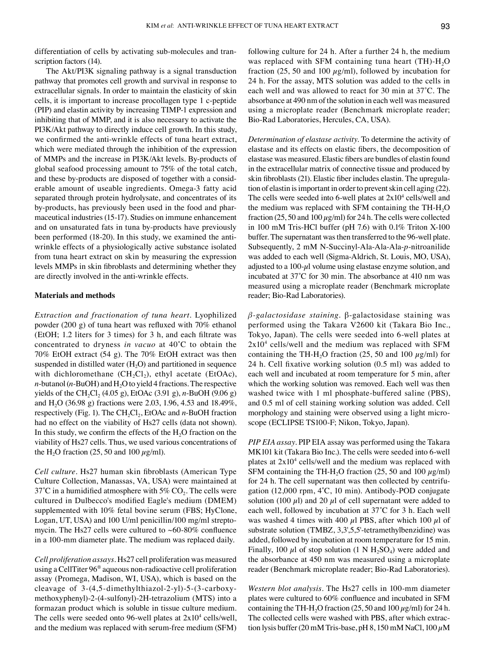differentiation of cells by activating sub-molecules and transcription factors  $(14)$ .

The Akt/PI3K signaling pathway is a signal transduction pathway that promotes cell growth and survival in response to extracellular signals. In order to maintain the elasticity of skin cells, it is important to increase procollagen type 1 c-peptide (PIP) and elastin activity by increasing TIMP-1 expression and inhibiting that of MMP, and it is also necessary to activate the PI3K/Akt pathway to directly induce cell growth. In this study, we confirmed the anti-wrinkle effects of tuna heart extract, which were mediated through the inhibition of the expression of MMPs and the increase in PI3K/Akt levels. By-products of global seafood processing amount to 75% of the total catch, and these by-products are disposed of together with a considerable amount of useable ingredients. Omega-3 fatty acid separated through protein hydrolysate, and concentrates of its by-products, has previously been used in the food and pharmaceutical industries (15-17). Studies on immune enhancement and on unsaturated fats in tuna by-products have previously been performed (18-20). In this study, we examined the antiwrinkle effects of a physiologically active substance isolated from tuna heart extract on skin by measuring the expression levels MMPs in skin fibroblasts and determining whether they are directly involved in the anti-wrinkle effects.

## **Materials and methods**

*Extraction and fractionation of tuna heart.* Lyophilized powder (200 g) of tuna heart was refluxed with 70% ethanol (EtOH; 1.2 liters for 3 times) for 3 h, and each filtrate was concentrated to dryness *in vacuo* at 40˚C to obtain the 70% EtOH extract (54 g). The 70% EtOH extract was then suspended in distilled water  $(H<sub>2</sub>O)$  and partitioned in sequence with dichloromethane  $(CH_2Cl_2)$ , ethyl acetate (EtOAc), *n*-butanol ( $n$ -BuOH) and  $H_2O$  to yield 4 fractions. The respective yields of the CH<sub>2</sub>Cl<sub>2</sub> (4.05 g), EtOAc (3.91 g), *n*-BuOH (9.06 g) and H<sub>2</sub>O (36.98 g) fractions were 2.03, 1.96, 4.53 and 18.49%, respectively (Fig. 1). The CH<sub>2</sub>Cl<sub>2</sub>, EtOAc and *n*-BuOH fraction had no effect on the viability of Hs27 cells (data not shown). In this study, we confirm the effects of the  $H<sub>2</sub>O$  fraction on the viability of Hs27 cells. Thus, we used various concentrations of the H<sub>2</sub>O fraction (25, 50 and 100  $\mu$ g/ml).

*Cell culture.* Hs27 human skin fibroblasts (American Type Culture Collection, Manassas, VA, USA) were maintained at 37°C in a humidified atmosphere with 5%  $CO<sub>2</sub>$ . The cells were cultured in Dulbecco's modified Eagle's medium (DMEM) supplemented with 10% fetal bovine serum (FBS; HyClone, Logan, UT, USA) and 100 U/ml penicillin/100 mg/ml streptomycin. The Hs27 cells were cultured to  $~60-80\%$  confluence in a 100-mm diameter plate. The medium was replaced daily.

*Cell proliferation assays.* Hs27 cell proliferation was measured using a CellTiter 96® aqueous non-radioactive cell proliferation assay (Promega, Madison, WI, USA), which is based on the cleavage of 3-(4,5-dimethylthiazol-2-yl)-5-(3-carboxymethoxyphenyl)-2-(4-sulfonyl)-2H-tetrazolium (MTS) into a formazan product which is soluble in tissue culture medium. The cells were seeded onto 96-well plates at  $2x10<sup>4</sup>$  cells/well, and the medium was replaced with serum-free medium (SFM) following culture for 24 h. After a further 24 h, the medium was replaced with SFM containing tuna heart  $(TH)$ - $H<sub>2</sub>O$ fraction (25, 50 and 100  $\mu$ g/ml), followed by incubation for 24 h. For the assay, MTS solution was added to the cells in each well and was allowed to react for 30 min at 37˚C. The absorbance at 490 nm of the solution in each well was measured using a microplate reader (Benchmark microplate reader; Bio-Rad Laboratories, Hercules, CA, USA).

*Determination of elastase activity.* To determine the activity of elastase and its effects on elastic fibers, the decomposition of elastase was measured. Elastic fibers are bundles of elastin found in the extracellular matrix of connective tissue and produced by skin fibroblasts (21). Elastic fiber includes elastin. The upregulation of elastin is important in order to prevent skin cell aging (22). The cells were seeded into 6-well plates at  $2x10<sup>4</sup>$  cells/well and the medium was replaced with SFM containing the TH-H<sub>2</sub>O fraction (25, 50 and 100  $\mu$ g/ml) for 24 h. The cells were collected in 100 mM Tris-HCl buffer (pH 7.6) with 0.1% Triton X-100 buffer. The supernatant was then transferred to the 96-well plate. Subsequently, 2 mM N-Succinyl-Ala-Ala-Ala-*p*-nitroanilide was added to each well (Sigma-Aldrich, St. Louis, MO, USA), adjusted to a  $100-\mu l$  volume using elastase enzyme solution, and incubated at 37˚C for 30 min. The absorbance at 410 nm was measured using a microplate reader (Benchmark microplate reader; Bio-Rad Laboratories).

*β-galactosidase staining.* β-galactosidase staining was performed using the Takara V2600 kit (Takara Bio Inc., Tokyo, Japan). The cells were seeded into 6-well plates at  $2x10<sup>4</sup>$  cells/well and the medium was replaced with SFM containing the TH-H<sub>2</sub>O fraction (25, 50 and 100  $\mu$ g/ml) for 24 h. Cell fixative working solution (0.5 ml) was added to each well and incubated at room temperature for 5 min, after which the working solution was removed. Each well was then washed twice with 1 ml phosphate-buffered saline (PBS), and 0.5 ml of cell staining working solution was added. Cell morphology and staining were observed using a light microscope (ECLIPSE TS100-F; Nikon, Tokyo, Japan).

*PIP EIA assay.* PIP EIA assay was performed using the Takara MK101 kit (Takara Bio Inc.). The cells were seeded into 6-well plates at  $2x10<sup>4</sup>$  cells/well and the medium was replaced with SFM containing the TH-H<sub>2</sub>O fraction (25, 50 and 100  $\mu$ g/ml) for 24 h. The cell supernatant was then collected by centrifugation (12,000 rpm, 4˚C, 10 min). Antibody-POD conjugate solution (100  $\mu$ l) and 20  $\mu$ l of cell supernatant were added to each well, followed by incubation at 37˚C for 3 h. Each well was washed 4 times with 400  $\mu$ l PBS, after which 100  $\mu$ l of substrate solution (TMBZ, 3,3',5,5'-tetramethylbenzidine) was added, followed by incubation at room temperature for 15 min. Finally, 100  $\mu$ l of stop solution (1 N H<sub>2</sub>SO<sub>4</sub>) were added and the absorbance at 450 nm was measured using a microplate reader (Benchmark microplate reader; Bio-Rad Laboratories).

*Western blot analysis.* The Hs27 cells in 100-mm diameter plates were cultured to 60% confluence and incubated in SFM containing the TH-H<sub>2</sub>O fraction (25, 50 and 100  $\mu$ g/ml) for 24 h. The collected cells were washed with PBS, after which extraction lysis buffer (20 mM Tris-base, pH 8, 150 mM NaCl, 100  $\mu$ M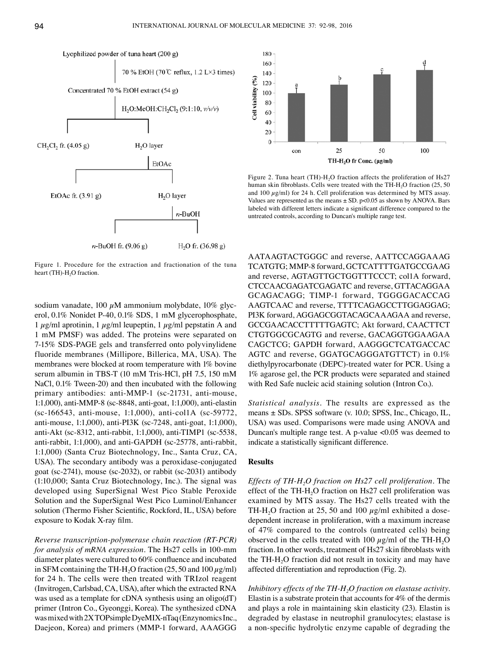

Figure 1. Procedure for the extraction and fractionation of the tuna heart (TH)- $H<sub>2</sub>O$  fraction.

sodium vanadate, 100  $\mu$ M ammonium molybdate, 10% glycerol, 0.1% Nonidet P-40, 0.1% SDS, 1 mM glycerophosphate, 1  $\mu$ g/ml aprotinin, 1  $\mu$ g/ml leupeptin, 1  $\mu$ g/ml pepstatin A and 1 mM PMSF) was added. The proteins were separated on 7-15% SDS-PAGE gels and transferred onto polyvinylidene fluoride membranes (Millipore, Billerica, MA, USA). The membranes were blocked at room temperature with 1% bovine serum albumin in TBS-T (10 mM Tris-HCl, pH 7.5, 150 mM NaCl, 0.1% Tween-20) and then incubated with the following primary antibodies: anti-MMP-1 (sc-21731, anti-mouse, 1:1,000), anti-MMP-8 (sc-8848, anti-goat, 1:1,000), anti-elastin (sc-166543, anti-mouse, 1:1,000), anti-col1A (sc-59772, anti-mouse, 1:1,000), anti-PI3K (sc-7248, anti-goat, 1:1,000), anti-Akt (sc-8312, anti-rabbit, 1:1,000), anti-TIMP1 (sc-5538, anti-rabbit, 1:1,000), and anti-GAPDH (sc-25778, anti-rabbit, 1:1,000) (Santa Cruz Biotechnology, Inc., Santa Cruz, CA, USA). The secondary antibody was a peroxidase-conjugated goat (sc-2741), mouse (sc-2032), or rabbit (sc-2031) antibody (1:10,000; Santa Cruz Biotechnology, Inc.). The signal was developed using SuperSignal West Pico Stable Peroxide Solution and the SuperSignal West Pico Luminol/Enhancer solution (Thermo Fisher Scientific, Rockford, IL, USA) before exposure to Kodak X‑ray film.

*Reverse transcription-polymerase chain reaction (RT-PCR) for analysis of mRNA expression.* The Hs27 cells in 100-mm diameter plates were cultured to 60% confluence and incubated in SFM containing the TH-H<sub>2</sub>O fraction (25, 50 and 100  $\mu$ g/ml) for 24 h. The cells were then treated with TRIzol reagent (Invitrogen, Carlsbad, CA, USA), after which the extracted RNA was used as a template for cDNA synthesis using an oligo(dT) primer (Intron Co., Gyeonggi, Korea). The synthesized cDNA was mixed with 2XTOPsimple DyeMIX-nTaq (EnzynomicsInc., Daejeon, Korea) and primers (MMP-1 forward, AAAGGG



Figure 2. Tuna heart (TH)- $H_2O$  fraction affects the proliferation of Hs27 human skin fibroblasts. Cells were treated with the TH-H<sub>2</sub>O fraction (25, 50) and 100  $\mu$ g/ml) for 24 h. Cell proliferation was determined by MTS assay. Values are represented as the means  $\pm$  SD. p<0.05 as shown by ANOVA. Bars labeled with different letters indicate a significant difference compared to the untreated controls, according to Duncan's multiple range test.

AATAAGTACTGGGC and reverse, AATTCCAGGAAAG TCATGTG; MMP-8 forward, GCTCATTTTGATGCCGAAG and reverse, AGTAGTTGCTGGTTTCCCT; col1A forward, CTCCAACGAGATCGAGATC and reverse, GTTACAGGAA GCAGACAGG; TIMP-1 forward, TGGGGACACCAG AAGTCAAC and reverse, TTTTCAGAGCCTTGGAGGAG; PI3K forward, AGGAGCGGTACAGCAAAGAA and reverse, GCCGAACACCTTTTTGAGTC; Akt forward, CAACTTCT CTGTGGCGCAGTG and reverse, GACAGGTGGAAGAA CAGCTCG; GAPDH forward, AAGGGCTCATGACCAC AGTC and reverse, GGATGCAGGGATGTTCT) in 0.1% diethylpyrocarbonate (DEPC)-treated water for PCR. Using a 1% agarose gel, the PCR products were separated and stained with Red Safe nucleic acid staining solution (Intron Co.).

*Statistical analysis.* The results are expressed as the means ± SDs. SPSS software (v. 10.0; SPSS, Inc., Chicago, IL, USA) was used. Comparisons were made using ANOVA and Duncan's multiple range test. A p-value <0.05 was deemed to indicate a statistically significant difference.

#### **Results**

*Effects of TH-H<sub>2</sub>O fraction on Hs27 cell proliferation.* The effect of the TH-H<sub>2</sub>O fraction on Hs27 cell proliferation was examined by MTS assay. The Hs27 cells treated with the TH-H<sub>2</sub>O fraction at 25, 50 and 100  $\mu$ g/ml exhibited a dosedependent increase in proliferation, with a maximum increase of 47% compared to the controls (untreated cells) being observed in the cells treated with 100  $\mu$ g/ml of the TH-H<sub>2</sub>O fraction. In other words, treatment of Hs27 skin fibroblasts with the  $TH-H<sub>2</sub>O$  fraction did not result in toxicity and may have affected differentiation and reproduction (Fig. 2).

*Inhibitory effects of the TH-H<sub>2</sub>O fraction on elastase activity.* Elastin is a substrate protein that accounts for 4% of the dermis and plays a role in maintaining skin elasticity (23). Elastin is degraded by elastase in neutrophil granulocytes; elastase is a non-specific hydrolytic enzyme capable of degrading the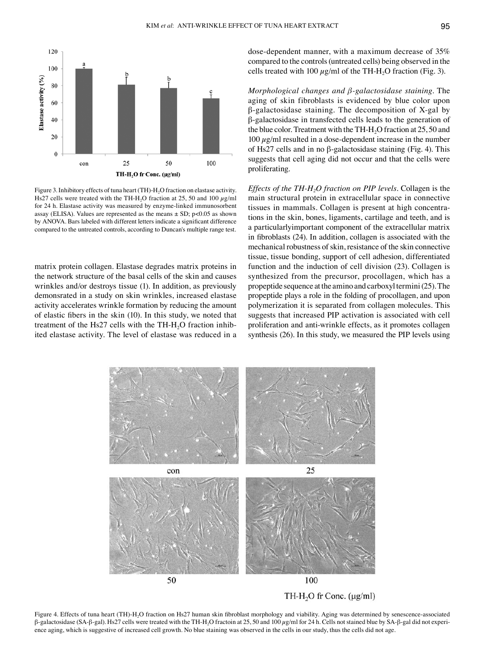

Figure 3. Inhibitory effects of tuna heart (TH)-H<sub>2</sub>O fraction on elastase activity. Hs27 cells were treated with the TH-H<sub>2</sub>O fraction at 25, 50 and 100  $\mu$ g/ml for 24 h. Elastase activity was measured by enzyme-linked immunosorbent assay (ELISA). Values are represented as the means  $\pm$  SD; p<0.05 as shown by ANOVA. Bars labeled with different letters indicate a significant difference compared to the untreated controls, according to Duncan's multiple range test.

matrix protein collagen. Elastase degrades matrix proteins in the network structure of the basal cells of the skin and causes wrinkles and/or destroys tissue (1). In addition, as previously demonsrated in a study on skin wrinkles, increased elastase activity accelerates wrinkle formation by reducing the amount of elastic fibers in the skin (10). In this study, we noted that treatment of the Hs27 cells with the  $TH-H<sub>2</sub>O$  fraction inhibited elastase activity. The level of elastase was reduced in a dose-dependent manner, with a maximum decrease of 35% compared to the controls(untreated cells) being observed in the cells treated with 100  $\mu$ g/ml of the TH-H<sub>2</sub>O fraction (Fig. 3).

*Morphological changes and β-galactosidase staining.* The aging of skin fibroblasts is evidenced by blue color upon β-galactosidase staining. The decomposition of X-gal by β-galactosidase in transfected cells leads to the generation of the blue color. Treatment with the TH-H<sub>2</sub>O fraction at 25, 50 and  $100 \mu$ g/ml resulted in a dose-dependent increase in the number of Hs27 cells and in no β-galactosidase staining (Fig. 4). This suggests that cell aging did not occur and that the cells were proliferating.

*Effects of the TH-H<sub>2</sub>O fraction on PIP levels.* Collagen is the main structural protein in extracellular space in connective tissues in mammals. Collagen is present at high concentrations in the skin, bones, ligaments, cartilage and teeth, and is a particularlyimportant component of the extracellular matrix in fibroblasts (24). In addition, collagen is associated with the mechanical robustness of skin, resistance of the skin connective tissue, tissue bonding, support of cell adhesion, differentiated function and the induction of cell division (23). Collagen is synthesized from the precursor, procollagen, which has a propeptide sequence at the amino and carboxyl termini(25). The propeptide plays a role in the folding of procollagen, and upon polymerization it is separated from collagen molecules. This suggests that increased PIP activation is associated with cell proliferation and anti-wrinkle effects, as it promotes collagen synthesis (26). In this study, we measured the PIP levels using



Figure 4. Effects of tuna heart (TH)-H2O fraction on Hs27 human skin fibroblast morphology and viability. Aging was determined by senescence-associated  $β$ -galactosidase (SA-β-gal). Hs27 cells were treated with the TH-H<sub>2</sub>O fractoin at 25, 50 and 100  $μg/ml$  for 24 h. Cells not stained blue by SA-β-gal did not experience aging, which is suggestive of increased cell growth. No blue staining was observed in the cells in our study, thus the cells did not age.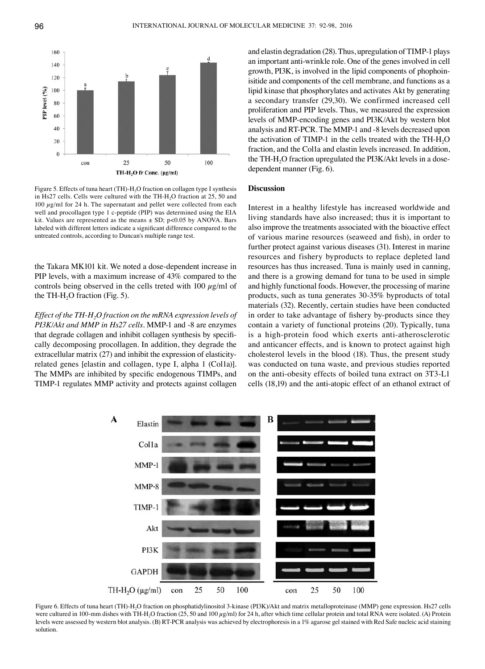

Figure 5. Effects of tuna heart (TH)-H<sub>2</sub>O fraction on collagen type I synthesis in Hs27 cells. Cells were cultured with the TH-H<sub>2</sub>O fraction at 25, 50 and  $100 \mu g/ml$  for 24 h. The supernatant and pellet were collected from each well and procollagen type 1 c-peptide (PIP) was determined using the EIA kit. Values are represented as the means  $\pm$  SD; p<0.05 by ANOVA. Bars labeled with different letters indicate a significant difference compared to the untreated controls, according to Duncan's multiple range test.

the Takara MK101 kit. We noted a dose-dependent increase in PIP levels, with a maximum increase of 43% compared to the controls being observed in the cells treted with 100  $\mu$ g/ml of the TH-H<sub>2</sub>O fraction (Fig. 5).

*Effect of the TH-H2O fraction on the mRNA expression levels of PI3K/Akt and MMP in Hs27 cells.* MMP-1 and -8 are enzymes that degrade collagen and inhibit collagen synthesis by specifically decomposing procollagen. In addition, they degrade the extracellular matrix (27) and inhibit the expression of elasticityrelated genes [elastin and collagen, type I, alpha 1 (Col1a)]. The MMPs are inhibited by specific endogenous TIMPs, and TIMP-1 regulates MMP activity and protects against collagen

and elastin degradation (28). Thus, upregulation of TIMP-1 plays an important anti-wrinkle role. One of the genes involved in cell growth, PI3K, is involved in the lipid components of phophoinisitide and components of the cell membrane, and functions as a lipid kinase that phosphorylates and activates Akt by generating a secondary transfer (29,30). We confirmed increased cell proliferation and PIP levels. Thus, we measured the expression levels of MMP-encoding genes and PI3K/Akt by western blot analysis and RT-PCR. The MMP-1 and -8 levels decreased upon the activation of TIMP-1 in the cells treated with the  $TH-H<sub>2</sub>O$ fraction, and the Col1a and elastin levels increased. In addition, the TH-H<sub>2</sub>O fraction upregulated the PI3K/Akt levels in a dosedependent manner (Fig. 6).

## **Discussion**

Interest in a healthy lifestyle has increased worldwide and living standards have also increased; thus it is important to also improve the treatments associated with the bioactive effect of various marine resources (seaweed and fish), in order to further protect against various diseases (31). Interest in marine resources and fishery byproducts to replace depleted land resources has thus increased. Tuna is mainly used in canning, and there is a growing demand for tuna to be used in simple and highly functional foods. However, the processing of marine products, such as tuna generates 30-35% byproducts of total materials (32). Recently, certain studies have been conducted in order to take advantage of fishery by-products since they contain a variety of functional proteins (20). Typically, tuna is a high-protein food which exerts anti-atherosclerotic and anticancer effects, and is known to protect against high cholesterol levels in the blood (18). Thus, the present study was conducted on tuna waste, and previous studies reported on the anti-obesity effects of boiled tuna extract on 3T3-L1 cells (18,19) and the anti-atopic effect of an ethanol extract of



Figure 6. Effects of tuna heart (TH)-H2O fraction on phosphatidylinositol 3-kinase (PI3K)/Akt and matrix metalloproteinase (MMP) gene expression. Hs27 cells were cultured in 100-mm dishes with TH-H<sub>2</sub>O fraction (25, 50 and 100  $\mu$ g/ml) for 24 h, after which time cellular protein and total RNA were isolated. (A) Protein levels were assessed by western blot analysis. (B) RT-PCR analysis was achieved by electrophoresis in a 1% agarose gel stained with Red Safe nucleic acid staining solution.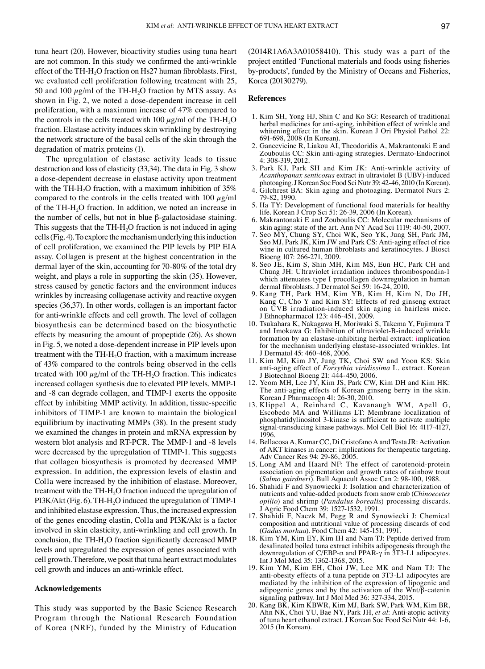tuna heart (20). However, bioactivity studies using tuna heart are not common. In this study we confirmed the anti-wrinkle effect of the TH-H<sub>2</sub>O fraction on Hs27 human fibroblasts. First, we evaluated cell proliferation following treatment with 25, 50 and 100  $\mu$ g/ml of the TH-H<sub>2</sub>O fraction by MTS assay. As shown in Fig. 2, we noted a dose-dependent increase in cell proliferation, with a maximum increase of 47% compared to the controls in the cells treated with 100  $\mu$ g/ml of the TH-H<sub>2</sub>O fraction. Elastase activity induces skin wrinkling by destroying the network structure of the basal cells of the skin through the degradation of matrix proteins (1).

The upregulation of elastase activity leads to tissue destruction and loss of elasticity (33,34). The data in Fig. 3 show a dose-dependent decrease in elastase activity upon treatment with the TH-H<sub>2</sub>O fraction, with a maximum inhibition of  $35\%$ compared to the controls in the cells treated with  $100 \mu g/ml$ of the TH-H<sub>2</sub>O fraction. In addition, we noted an increase in the number of cells, but not in blue β-galactosidase staining. This suggests that the  $TH-H<sub>2</sub>O$  fraction is not induced in aging cells(Fig. 4). To explore the mechanism underlying this induction of cell proliferation, we examined the PIP levels by PIP EIA assay. Collagen is present at the highest concentration in the dermal layer of the skin, accounting for 70-80% of the total dry weight, and plays a role in supporting the skin (35). However, stress caused by genetic factors and the environment induces wrinkles by increasing collagenase activity and reactive oxygen species (36,37). In other words, collagen is an important factor for anti-wrinkle effects and cell growth. The level of collagen biosynthesis can be determined based on the biosynthetic effects by measuring the amount of propeptide (26). As shown in Fig. 5, we noted a dose-dependent increase in PIP levels upon treatment with the  $TH-H<sub>2</sub>O$  fraction, with a maximum increase of 43% compared to the controls being observed in the cells treated with 100  $\mu$ g/ml of the TH-H<sub>2</sub>O fraction. This indicates increased collagen synthesis due to elevated PIP levels. MMP-1 and -8 can degrade collagen, and TIMP-1 exerts the opposite effect by inhibiting MMP activity. In addition, tissue‑specific inhibitors of TIMP-1 are known to maintain the biological equilibrium by inactivating MMPs (38). In the present study we examined the changes in protein and mRNA expression by western blot analysis and RT-PCR. The MMP-1 and -8 levels were decreased by the upregulation of TIMP-1. This suggests that collagen biosynthesis is promoted by decreased MMP expression. In addition, the expression levels of elastin and Col1a were increased by the inhibition of elastase. Moreover, treatment with the  $TH-H_2O$  fraction induced the upregulation of  $PI3K/Akt$  (Fig. 6). TH-H<sub>2</sub>O induced the upregulation of TIMP-1 and inhibited elastase expression. Thus, the increased expression of the genes encoding elastin, Col1a and PI3K/Akt is a factor involved in skin elasticity, anti-wrinkling and cell growth. In conclusion, the TH-H<sub>2</sub>O fraction significantly decreased MMP levels and upregulated the expression of genes associated with cell growth. Therefore, we posit that tuna heart extract modulates cell growth and induces an anti-wrinkle effect.

## **Acknowledgements**

This study was supported by the Basic Science Research Program through the National Research Foundation of Korea (NRF), funded by the Ministry of Education (2014R1A6A3A01058410). This study was a part of the project entitled 'Functional materials and foods using fisheries by-products', funded by the Ministry of Oceans and Fisheries, Korea (20130279).

## **References**

- 1. Kim SH, Yong HJ, Shin C and Ko SG: Research of traditional herbal medicines for anti-aging, inhibition effect of wrinkle and whitening effect in the skin. Korean J Ori Physiol Pathol 22: 691-698, 2008 (In Korean).
- 2. Gancevicine R, Liakou AI, Theodoridis A, Makrantonaki E and Zouboulis CC: Skin anti-aging strategies. Dermato-Endocrinol 4: 308-319, 2012.
- 3. Park KJ, Park SH and Kim JK: Anti-wrinkle activity of *Acanthopanax senticosus* extract in ultraviolet B (UBV)‑induced photoaging. J Korean Soc Food Sci Nutr 39: 42-46, 2010 (In Korean).
- 4. Gilchrest BA: Skin aging and photoaging. Dermatol Nurs 2: 79-82, 1990.
- 5. Ha TY: Development of functional food materials for healthy life. Korean J Crop Sci 51: 26-39, 2006 (In Korean).
- 6. Makrantonaki E and Zouboulis CC: Molecular mechanisms of skin aging: state of the art. Ann NY Acad Sci 1119: 40-50, 2007.
- 7. Seo MY, Chung SY, Choi WK, Seo YK, Jung SH, Park JM, Seo MJ, Park JK, Kim JW and Park CS: Anti-aging effect of rice wine in cultured human fibroblasts and keratinocytes. J Biosci Bioeng 107: 266-271, 2009.
- 8. Seo JE, Kim S, Shin MH, Kim MS, Eun HC, Park CH and Chung JH: Ultraviolet irradiation induces thrombospondin-1 which attenuates type I procollagen downregulation in human dermal fibroblasts. J Dermatol Sci 59: 16-24, 2010.
- 9. Kang TH, Park HM, Kim YB, Kim H, Kim N, Do JH, Kang C, Cho Y and Kim SY: Effects of red ginseng extract on UVB irradiation-induced skin aging in hairless mice. J Ethnopharmacol 123: 446-451, 2009.
- 10. Tsukahara K, Nakagawa H, Moriwaki S, Takema Y, Fujimura T and Imokawa G: Inhibition of ultraviolet-B-induced wrinkle formation by an elastase-inhibiting herbal extract: implication for the mechanism underlying elastase-associated wrinkles. Int J Dermatol 45: 460-468, 2006.
- 11. Kim MJ, Kim JY, Jung TK, Choi SW and Yoon KS: Skin anti-aging effect of *Forsythia viridissima* L. extract. Korean J Biotechnol Bioeng 21: 444-450, 2006.
- 12. Yeom MH, Lee JY, Kim JS, Park CW, Kim DH and Kim HK: The anti-aging effects of Korean ginseng berry in the skin. Korean J Pharmacogn 41: 26-30, 2010.
- 13. Klippel A, Reinhard C, Kavanaugh WM, Apell G, Escobedo MA and Williams LT: Membrane localization of phosphatidylinositol 3-kinase is sufficient to activate multiple signal-transducing kinase pathways. Mol Cell Biol 16: 4117-4127, 1996.
- 14. Bellacosa A, Kumar CC, Di Cristofano A and Testa JR: Activation of AKT kinases in cancer: implications for therapeutic targeting. Adv Cancer Res 94: 29-86, 2005.
- 15. Long AM and Haard NF: The effect of carotenoid-protein association on pigmentation and growth rates of rainbow trout (*Salmo gairdneri*). Bull Aquacult Assoc Can 2: 98-100, 1988.
- 16. Shahidi F and Synowiecki J: Isolation and characterization of nutrients and value-added products from snow crab (*Chinoecetes opilio*) and shrimp (*Pandalus borealis*) processing discards. J Agric Food Chem 39: 1527-1532, 1991.
- 17. Shahidi F, Naczk M, Pegg R and Synowiecki J: Chemical composition and nutritional value of processing discards of cod (*Gadus morhua*). Food Chem 42: 145-151, 1991.
- 18. Kim YM, Kim EY, Kim IH and Nam TJ: Peptide derived from desalinated boiled tuna extract inhibits adipogenesis through the downregulation of C/EBP-α and PPAR-γ in 3T3-L1 adipocytes. Int J Mol Med 35: 1362-1368, 2015.
- 19. Kim YM, Kim EH, Choi JW, Lee MK and Nam TJ: The anti-obesity effects of a tuna peptide on 3T3-L1 adipocytes are mediated by the inhibition of the expression of lipogenic and adipogenic genes and by the activation of the Wnt/β-catenin signaling pathway. Int J Mol Med 36: 327-334, 2015.
- 20. Kang BK, Kim KBWR, Kim MJ, Bark SW, Park WM, Kim BR, Ahn NK, Choi YU, Bae NY, Park JH, *et al*: Anti-atopic activity of tuna heart ethanol extract. J Korean Soc Food Sci Nutr 44: 1-6, 2015 (In Korean).